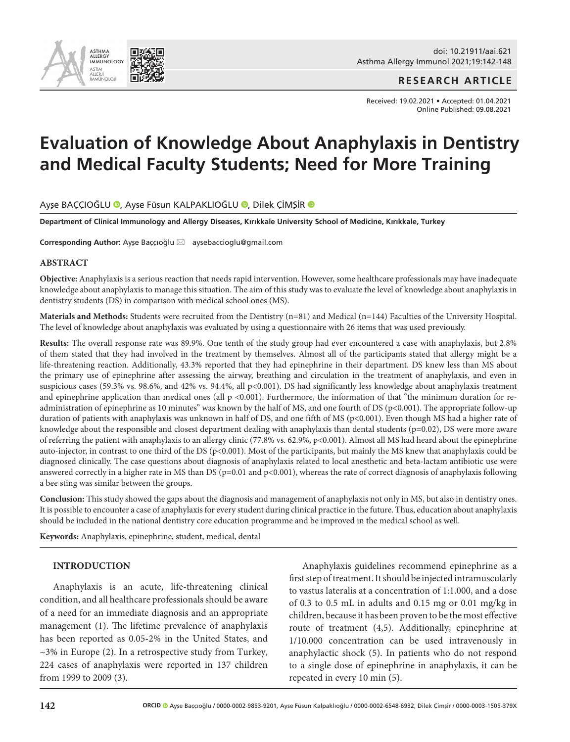

doi: 10.21911/aai.621 Asthma Allergy Immunol 2021;19:142-148

**RESEARCH ARTICLE**

Received: 19.02.2021 • Accepted: 01.04.2021 Online Published: 09.08.2021

# **Evaluation of Knowledge About Anaphylaxis in Dentistry and Medical Faculty Students; Need for More Training**

Ayşe BAÇÇIOĞLU (D[,](http://orcid.org/0000-0002-9853-9201) Ayse Füsun KALPAKLIOĞLU (D, Dilek ÇİMŞİR (D

**Department of Clinical Immunology and Allergy Diseases, Kırıkkale University School of Medicine, Kırıkkale, Turkey**

Corresponding Author: Ayşe Baççıoğlu ⊠ aysebaccioglu@gmail.com

## **ABSTRACT**

**Objective:** Anaphylaxis is a serious reaction that needs rapid intervention. However, some healthcare professionals may have inadequate knowledge about anaphylaxis to manage this situation. The aim of this study was to evaluate the level of knowledge about anaphylaxis in dentistry students (DS) in comparison with medical school ones (MS).

**Materials and Methods:** Students were recruited from the Dentistry (n=81) and Medical (n=144) Faculties of the University Hospital. The level of knowledge about anaphylaxis was evaluated by using a questionnaire with 26 items that was used previously.

**Results:** The overall response rate was 89.9%. One tenth of the study group had ever encountered a case with anaphylaxis, but 2.8% of them stated that they had involved in the treatment by themselves. Almost all of the participants stated that allergy might be a life-threatening reaction. Additionally, 43.3% reported that they had epinephrine in their department. DS knew less than MS about the primary use of epinephrine after assessing the airway, breathing and circulation in the treatment of anaphylaxis, and even in suspicious cases (59.3% vs. 98.6%, and 42% vs. 94.4%, all p<0.001). DS had significantly less knowledge about anaphylaxis treatment and epinephrine application than medical ones (all p <0.001). Furthermore, the information of that "the minimum duration for readministration of epinephrine as 10 minutes" was known by the half of MS, and one fourth of DS (p<0.001). The appropriate follow-up duration of patients with anaphylaxis was unknown in half of DS, and one fifth of MS (p<0.001). Even though MS had a higher rate of knowledge about the responsible and closest department dealing with anaphylaxis than dental students (p=0.02), DS were more aware of referring the patient with anaphylaxis to an allergy clinic (77.8% vs. 62.9%, p<0.001). Almost all MS had heard about the epinephrine auto-injector, in contrast to one third of the DS (p<0.001). Most of the participants, but mainly the MS knew that anaphylaxis could be diagnosed clinically. The case questions about diagnosis of anaphylaxis related to local anesthetic and beta-lactam antibiotic use were answered correctly in a higher rate in MS than DS ( $p=0.01$  and  $p<0.001$ ), whereas the rate of correct diagnosis of anaphylaxis following a bee sting was similar between the groups.

**Conclusion:** This study showed the gaps about the diagnosis and management of anaphylaxis not only in MS, but also in dentistry ones. It is possible to encounter a case of anaphylaxis for every student during clinical practice in the future. Thus, education about anaphylaxis should be included in the national dentistry core education programme and be improved in the medical school as well.

**Keywords:** Anaphylaxis, epinephrine, student, medical, dental

## **INTRODUCTION**

Anaphylaxis is an acute, life-threatening clinical condition, and all healthcare professionals should be aware of a need for an immediate diagnosis and an appropriate management (1). The lifetime prevalence of anaphylaxis has been reported as 0.05-2% in the United States, and  $\sim$ 3% in Europe (2). In a retrospective study from Turkey, 224 cases of anaphylaxis were reported in 137 children from 1999 to 2009 (3).

Anaphylaxis guidelines recommend epinephrine as a first step of treatment. It should be injected intramuscularly to vastus lateralis at a concentration of 1:1.000, and a dose of 0.3 to 0.5 mL in adults and 0.15 mg or 0.01 mg/kg in children, because it has been proven to be the most effective route of treatment (4,5). Additionally, epinephrine at 1/10.000 concentration can be used intravenously in anaphylactic shock (5). In patients who do not respond to a single dose of epinephrine in anaphylaxis, it can be repeated in every 10 min (5).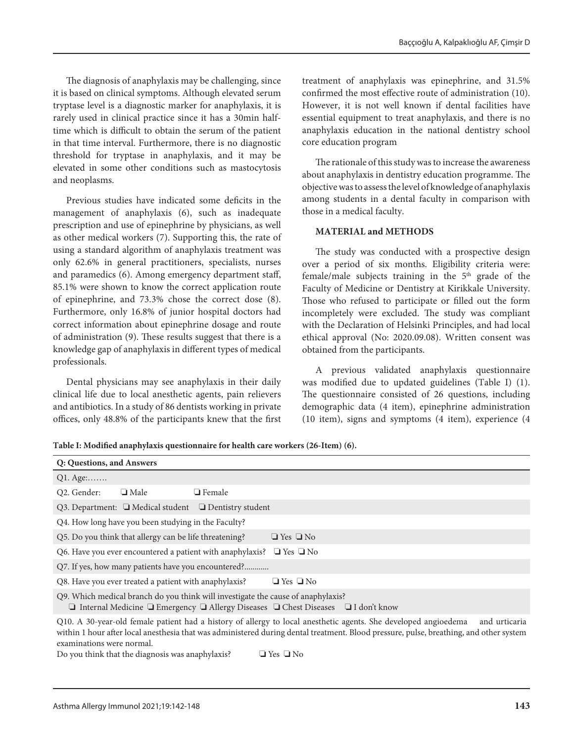The diagnosis of anaphylaxis may be challenging, since it is based on clinical symptoms. Although elevated serum tryptase level is a diagnostic marker for anaphylaxis, it is rarely used in clinical practice since it has a 30min halftime which is difficult to obtain the serum of the patient in that time interval. Furthermore, there is no diagnostic threshold for tryptase in anaphylaxis, and it may be elevated in some other conditions such as mastocytosis and neoplasms.

Previous studies have indicated some deficits in the management of anaphylaxis (6), such as inadequate prescription and use of epinephrine by physicians, as well as other medical workers (7). Supporting this, the rate of using a standard algorithm of anaphylaxis treatment was only 62.6% in general practitioners, specialists, nurses and paramedics (6). Among emergency department staff, 85.1% were shown to know the correct application route of epinephrine, and 73.3% chose the correct dose (8). Furthermore, only 16.8% of junior hospital doctors had correct information about epinephrine dosage and route of administration (9). These results suggest that there is a knowledge gap of anaphylaxis in different types of medical professionals.

Dental physicians may see anaphylaxis in their daily clinical life due to local anesthetic agents, pain relievers and antibiotics. In a study of 86 dentists working in private offices, only 48.8% of the participants knew that the first

treatment of anaphylaxis was epinephrine, and 31.5% confirmed the most effective route of administration (10). However, it is not well known if dental facilities have essential equipment to treat anaphylaxis, and there is no anaphylaxis education in the national dentistry school core education program

The rationale of this study was to increase the awareness about anaphylaxis in dentistry education programme. The objective was to assess the level of knowledge of anaphylaxis among students in a dental faculty in comparison with those in a medical faculty.

# **MATERIAL and METHODS**

The study was conducted with a prospective design over a period of six months. Eligibility criteria were: female/male subjects training in the 5th grade of the Faculty of Medicine or Dentistry at Kirikkale University. Those who refused to participate or filled out the form incompletely were excluded. The study was compliant with the Declaration of Helsinki Principles, and had local ethical approval (No: 2020.09.08). Written consent was obtained from the participants.

A previous validated anaphylaxis questionnaire was modified due to updated guidelines (Table I) (1). The questionnaire consisted of 26 questions, including demographic data (4 item), epinephrine administration (10 item), signs and symptoms (4 item), experience (4

**Table I: Modified anaphylaxis questionnaire for health care workers (26-Item) (6).**

| Q: Questions, and Answers                                                                                                                                                                       |  |  |  |  |  |
|-------------------------------------------------------------------------------------------------------------------------------------------------------------------------------------------------|--|--|--|--|--|
| $Q1. \text{Age}$                                                                                                                                                                                |  |  |  |  |  |
| Q2. Gender:<br>$\Box$ Male<br>$\Box$ Female                                                                                                                                                     |  |  |  |  |  |
| Q3. Department: $\Box$ Medical student $\Box$ Dentistry student                                                                                                                                 |  |  |  |  |  |
| Q4. How long have you been studying in the Faculty?                                                                                                                                             |  |  |  |  |  |
| Q5. Do you think that allergy can be life threatening?<br>$\Box$ Yes $\Box$ No                                                                                                                  |  |  |  |  |  |
| Q6. Have you ever encountered a patient with anaphylaxis? $\Box$ Yes $\Box$ No                                                                                                                  |  |  |  |  |  |
|                                                                                                                                                                                                 |  |  |  |  |  |
| Q8. Have you ever treated a patient with anaphylaxis?<br>$\Box$ Yes $\Box$ No                                                                                                                   |  |  |  |  |  |
| Q9. Which medical branch do you think will investigate the cause of anaphylaxis?<br>$\Box$ Internal Medicine $\Box$ Emergency $\Box$ Allergy Diseases $\Box$ Chest Diseases $\Box$ I don't know |  |  |  |  |  |
|                                                                                                                                                                                                 |  |  |  |  |  |

Q10. A 30-year-old female patient had a history of allergy to local anesthetic agents. She developed angioedema and urticaria within 1 hour after local anesthesia that was administered during dental treatment. Blood pressure, pulse, breathing, and other system examinations were normal.

Do you think that the diagnosis was anaphylaxis? ❏ Yes ❏ No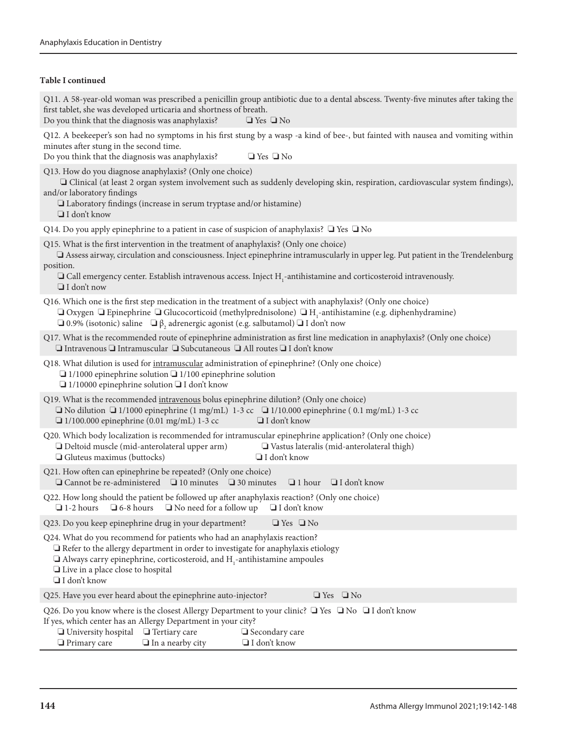# **Table I continued**

| Q11. A 58-year-old woman was prescribed a penicillin group antibiotic due to a dental abscess. Twenty-five minutes after taking the<br>first tablet, she was developed urticaria and shortness of breath.<br>Do you think that the diagnosis was anaphylaxis?<br>$\Box$ Yes $\Box$ No                                                                                                                |
|------------------------------------------------------------------------------------------------------------------------------------------------------------------------------------------------------------------------------------------------------------------------------------------------------------------------------------------------------------------------------------------------------|
| Q12. A beekeeper's son had no symptoms in his first stung by a wasp -a kind of bee-, but fainted with nausea and vomiting within<br>minutes after stung in the second time.<br>Do you think that the diagnosis was anaphylaxis?<br>$\Box$ Yes $\Box$ No                                                                                                                                              |
| Q13. How do you diagnose anaphylaxis? (Only one choice)<br>I Clinical (at least 2 organ system involvement such as suddenly developing skin, respiration, cardiovascular system findings),<br>and/or laboratory findings<br>Laboratory findings (increase in serum tryptase and/or histamine)<br>$\Box$ I don't know                                                                                 |
| Q14. Do you apply epinephrine to a patient in case of suspicion of anaphylaxis? $\Box$ Yes $\Box$ No                                                                                                                                                                                                                                                                                                 |
| Q15. What is the first intervention in the treatment of anaphylaxis? (Only one choice)<br>□ Assess airway, circulation and consciousness. Inject epinephrine intramuscularly in upper leg. Put patient in the Trendelenburg<br>position.<br>$\Box$ Call emergency center. Establish intravenous access. Inject H <sub>1</sub> -antihistamine and corticosteroid intravenously.<br>$\Box$ I don't now |
| Q16. Which one is the first step medication in the treatment of a subject with anaphylaxis? (Only one choice)<br>$\Box$ Oxygen $\Box$ Epinephrine $\Box$ Glucocorticoid (methylprednisolone) $\Box$ H <sub>1</sub> -antihistamine (e.g. diphenhydramine)<br>$\Box$ 0.9% (isotonic) saline $\Box \beta$ , adrenergic agonist (e.g. salbutamol) $\Box$ I don't now                                     |
| Q17. What is the recommended route of epinephrine administration as first line medication in anaphylaxis? (Only one choice)<br>$\Box$ Intravenous $\Box$ Intramuscular $\Box$ Subcutaneous $\Box$ All routes $\Box$ I don't know                                                                                                                                                                     |
| Q18. What dilution is used for intramuscular administration of epinephrine? (Only one choice)<br>$\Box$ 1/1000 epinephrine solution $\Box$ 1/100 epinephrine solution<br>$\Box$ 1/10000 epinephrine solution $\Box$ I don't know                                                                                                                                                                     |
| Q19. What is the recommended intravenous bolus epinephrine dilution? (Only one choice)<br>□ No dilution □ 1/1000 epinephrine (1 mg/mL) 1-3 cc □ 1/10.000 epinephrine (0.1 mg/mL) 1-3 cc<br>$\Box$ 1/100.000 epinephrine (0.01 mg/mL) 1-3 cc<br>$\Box$ I don't know                                                                                                                                   |
| Q20. Which body localization is recommended for intramuscular epinephrine application? (Only one choice)<br>Deltoid muscle (mid-anterolateral upper arm)<br>Vastus lateralis (mid-anterolateral thigh)<br>$\Box$ Gluteus maximus (buttocks)<br>$\Box$ I don't know                                                                                                                                   |
| Q21. How often can epinephrine be repeated? (Only one choice)<br>$\Box$ Cannot be re-administered $\Box$ 10 minutes $\Box$ 30 minutes<br>$\Box$ I don't know<br>$\Box$ 1 hour                                                                                                                                                                                                                        |
| Q22. How long should the patient be followed up after anaphylaxis reaction? (Only one choice)<br>$\Box$ 1-2 hours $\Box$ 6-8 hours $\Box$ No need for a follow up $\Box$ I don't know                                                                                                                                                                                                                |
| Q23. Do you keep epinephrine drug in your department?<br>$\Box$ Yes $\Box$ No                                                                                                                                                                                                                                                                                                                        |
| Q24. What do you recommend for patients who had an anaphylaxis reaction?<br>$\Box$ Refer to the allergy department in order to investigate for anaphylaxis etiology<br>$\Box$ Always carry epinephrine, corticosteroid, and H <sub>1</sub> -antihistamine ampoules<br>$\Box$ Live in a place close to hospital<br>$\Box$ I don't know                                                                |
| Q25. Have you ever heard about the epinephrine auto-injector?<br>$\Box$ Yes $\Box$ No                                                                                                                                                                                                                                                                                                                |
| Q26. Do you know where is the closest Allergy Department to your clinic? $\Box$ Yes $\Box$ No $\Box$ I don't know<br>If yes, which center has an Allergy Department in your city?<br>University hospital<br>$\Box$ Tertiary care<br>□ Secondary care<br>$\Box$ I don't know<br>$\Box$ Primary care<br>$\Box$ In a nearby city                                                                        |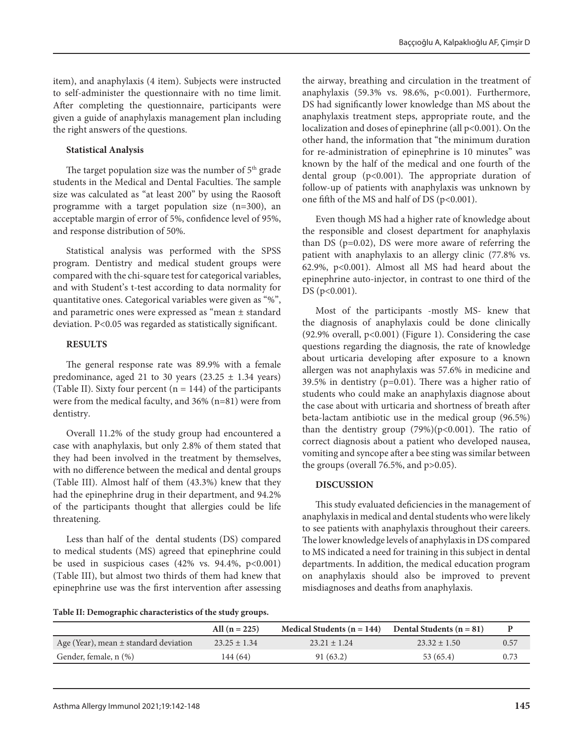item), and anaphylaxis (4 item). Subjects were instructed to self-administer the questionnaire with no time limit. After completing the questionnaire, participants were given a guide of anaphylaxis management plan including the right answers of the questions.

# **Statistical Analysis**

The target population size was the number of  $5<sup>th</sup>$  grade students in the Medical and Dental Faculties. The sample size was calculated as "at least 200" by using the Raosoft programme with a target population size (n=300), an acceptable margin of error of 5%, confidence level of 95%, and response distribution of 50%.

Statistical analysis was performed with the SPSS program. Dentistry and medical student groups were compared with the chi-square test for categorical variables, and with Student's t-test according to data normality for quantitative ones. Categorical variables were given as "%", and parametric ones were expressed as "mean ± standard deviation. P<0.05 was regarded as statistically significant.

## **RESULTS**

The general response rate was 89.9% with a female predominance, aged 21 to 30 years  $(23.25 \pm 1.34 \text{ years})$ (Table II). Sixty four percent  $(n = 144)$  of the participants were from the medical faculty, and 36% (n=81) were from dentistry.

Overall 11.2% of the study group had encountered a case with anaphylaxis, but only 2.8% of them stated that they had been involved in the treatment by themselves, with no difference between the medical and dental groups (Table III). Almost half of them (43.3%) knew that they had the epinephrine drug in their department, and 94.2% of the participants thought that allergies could be life threatening.

Less than half of the dental students (DS) compared to medical students (MS) agreed that epinephrine could be used in suspicious cases  $(42\% \text{ vs. } 94.4\%, \text{ p} < 0.001)$ (Table III), but almost two thirds of them had knew that epinephrine use was the first intervention after assessing

the airway, breathing and circulation in the treatment of anaphylaxis (59.3% vs. 98.6%, p<0.001). Furthermore, DS had significantly lower knowledge than MS about the anaphylaxis treatment steps, appropriate route, and the localization and doses of epinephrine (all  $p<0.001$ ). On the other hand, the information that "the minimum duration for re-administration of epinephrine is 10 minutes" was known by the half of the medical and one fourth of the dental group (p<0.001). The appropriate duration of follow-up of patients with anaphylaxis was unknown by one fifth of the MS and half of DS (p<0.001).

Even though MS had a higher rate of knowledge about the responsible and closest department for anaphylaxis than DS (p=0.02), DS were more aware of referring the patient with anaphylaxis to an allergy clinic (77.8% vs. 62.9%, p<0.001). Almost all MS had heard about the epinephrine auto-injector, in contrast to one third of the DS (p<0.001).

Most of the participants -mostly MS- knew that the diagnosis of anaphylaxis could be done clinically (92.9% overall, p<0.001) (Figure 1). Considering the case questions regarding the diagnosis, the rate of knowledge about urticaria developing after exposure to a known allergen was not anaphylaxis was 57.6% in medicine and 39.5% in dentistry (p=0.01). There was a higher ratio of students who could make an anaphylaxis diagnose about the case about with urticaria and shortness of breath after beta-lactam antibiotic use in the medical group (96.5%) than the dentistry group  $(79%)(p<0.001)$ . The ratio of correct diagnosis about a patient who developed nausea, vomiting and syncope after a bee sting was similar between the groups (overall  $76.5\%$ , and  $p > 0.05$ ).

# **DISCUSSION**

This study evaluated deficiencies in the management of anaphylaxis in medical and dental students who were likely to see patients with anaphylaxis throughout their careers. The lower knowledge levels of anaphylaxis in DS compared to MS indicated a need for training in this subject in dental departments. In addition, the medical education program on anaphylaxis should also be improved to prevent misdiagnoses and deaths from anaphylaxis.

**Table II: Demographic characteristics of the study groups.**

|                                           | All $(n = 225)$  | Medical Students $(n = 144)$ | Dental Students $(n = 81)$ |      |
|-------------------------------------------|------------------|------------------------------|----------------------------|------|
| Age (Year), mean $\pm$ standard deviation | $23.25 \pm 1.34$ | $23.21 + 1.24$               | $23.32 \pm 1.50$           | 0.57 |
| Gender, female, n (%)                     | 144 (64)         | 91(63.2)                     | 53(65.4)                   | 0.73 |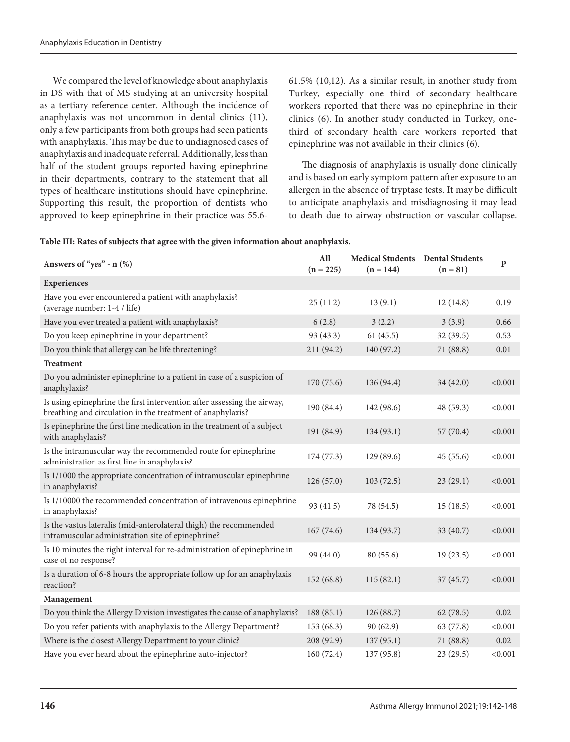We compared the level of knowledge about anaphylaxis in DS with that of MS studying at an university hospital as a tertiary reference center. Although the incidence of anaphylaxis was not uncommon in dental clinics (11), only a few participants from both groups had seen patients with anaphylaxis. This may be due to undiagnosed cases of anaphylaxis and inadequate referral. Additionally, less than half of the student groups reported having epinephrine in their departments, contrary to the statement that all types of healthcare institutions should have epinephrine. Supporting this result, the proportion of dentists who approved to keep epinephrine in their practice was 55.661.5% (10,12). As a similar result, in another study from Turkey, especially one third of secondary healthcare workers reported that there was no epinephrine in their clinics (6). In another study conducted in Turkey, onethird of secondary health care workers reported that epinephrine was not available in their clinics (6).

The diagnosis of anaphylaxis is usually done clinically and is based on early symptom pattern after exposure to an allergen in the absence of tryptase tests. It may be difficult to anticipate anaphylaxis and misdiagnosing it may lead to death due to airway obstruction or vascular collapse.

|  |  | Table III: Rates of subjects that agree with the given information about anaphylaxis. |
|--|--|---------------------------------------------------------------------------------------|
|  |  |                                                                                       |

| Answers of "yes" - n (%)                                                                                                              | All<br>$(n = 225)$ | Medical Students Dental Students<br>$(n = 144)$ | $(n = 81)$ | ${\bf P}$ |
|---------------------------------------------------------------------------------------------------------------------------------------|--------------------|-------------------------------------------------|------------|-----------|
| <b>Experiences</b>                                                                                                                    |                    |                                                 |            |           |
| Have you ever encountered a patient with anaphylaxis?<br>(average number: 1-4 / life)                                                 | 25(11.2)           | 13(9.1)                                         | 12(14.8)   | 0.19      |
| Have you ever treated a patient with anaphylaxis?                                                                                     | 6(2.8)             | 3(2.2)                                          | 3(3.9)     | 0.66      |
| Do you keep epinephrine in your department?                                                                                           | 93 (43.3)          | 61(45.5)                                        | 32 (39.5)  | 0.53      |
| Do you think that allergy can be life threatening?                                                                                    | 211 (94.2)         | 140 (97.2)                                      | 71 (88.8)  | 0.01      |
| <b>Treatment</b>                                                                                                                      |                    |                                                 |            |           |
| Do you administer epinephrine to a patient in case of a suspicion of<br>anaphylaxis?                                                  | 170 (75.6)         | 136 (94.4)                                      | 34 (42.0)  | < 0.001   |
| Is using epinephrine the first intervention after assessing the airway,<br>breathing and circulation in the treatment of anaphylaxis? | 190 (84.4)         | 142 (98.6)                                      | 48 (59.3)  | < 0.001   |
| Is epinephrine the first line medication in the treatment of a subject<br>with anaphylaxis?                                           | 191 (84.9)         | 134 (93.1)                                      | 57 (70.4)  | < 0.001   |
| Is the intramuscular way the recommended route for epinephrine<br>administration as first line in anaphylaxis?                        | 174(77.3)          | 129(89.6)                                       | 45(55.6)   | < 0.001   |
| Is 1/1000 the appropriate concentration of intramuscular epinephrine<br>in anaphylaxis?                                               | 126(57.0)          | 103(72.5)                                       | 23(29.1)   | < 0.001   |
| Is 1/10000 the recommended concentration of intravenous epinephrine<br>in anaphylaxis?                                                | 93 (41.5)          | 78 (54.5)                                       | 15(18.5)   | < 0.001   |
| Is the vastus lateralis (mid-anterolateral thigh) the recommended<br>intramuscular administration site of epinephrine?                | 167(74.6)          | 134 (93.7)                                      | 33 (40.7)  | < 0.001   |
| Is 10 minutes the right interval for re-administration of epinephrine in<br>case of no response?                                      | 99 (44.0)          | 80 (55.6)                                       | 19(23.5)   | < 0.001   |
| Is a duration of 6-8 hours the appropriate follow up for an anaphylaxis<br>reaction?                                                  | 152(68.8)          | 115(82.1)                                       | 37(45.7)   | < 0.001   |
| Management                                                                                                                            |                    |                                                 |            |           |
| Do you think the Allergy Division investigates the cause of anaphylaxis?                                                              | 188(85.1)          | 126 (88.7)                                      | 62(78.5)   | 0.02      |
| Do you refer patients with anaphylaxis to the Allergy Department?                                                                     | 153(68.3)          | 90(62.9)                                        | 63 (77.8)  | < 0.001   |
| Where is the closest Allergy Department to your clinic?                                                                               | 208 (92.9)         | 137(95.1)                                       | 71 (88.8)  | 0.02      |
| Have you ever heard about the epinephrine auto-injector?                                                                              | 160(72.4)          | 137 (95.8)                                      | 23(29.5)   | < 0.001   |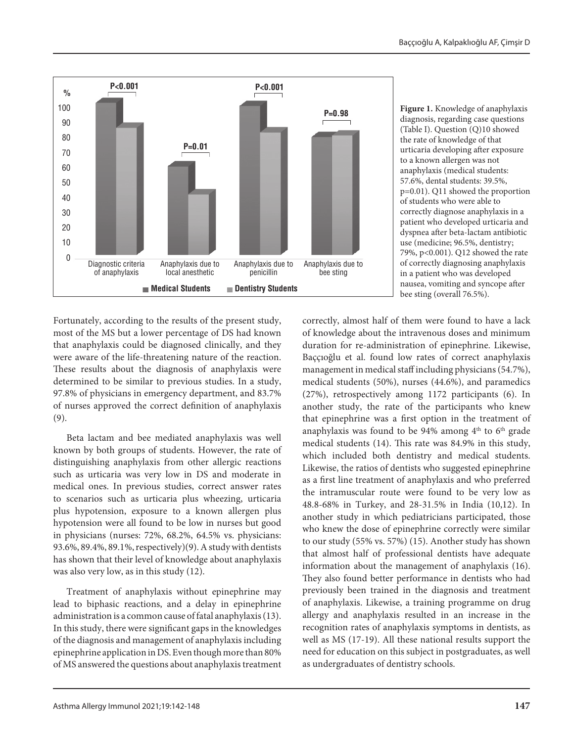

**Figure 1.** Knowledge of anaphylaxis diagnosis, regarding case questions (Table I). Question (Q)10 showed the rate of knowledge of that urticaria developing after exposure to a known allergen was not anaphylaxis (medical students: 57.6%, dental students: 39.5%, p=0.01). Q11 showed the proportion of students who were able to correctly diagnose anaphylaxis in a patient who developed urticaria and dyspnea after beta-lactam antibiotic use (medicine; 96.5%, dentistry; 79%, p<0.001). Q12 showed the rate of correctly diagnosing anaphylaxis in a patient who was developed nausea, vomiting and syncope after bee sting (overall 76.5%).

Fortunately, according to the results of the present study, most of the MS but a lower percentage of DS had known that anaphylaxis could be diagnosed clinically, and they were aware of the life-threatening nature of the reaction. These results about the diagnosis of anaphylaxis were determined to be similar to previous studies. In a study, 97.8% of physicians in emergency department, and 83.7% of nurses approved the correct definition of anaphylaxis (9).

Beta lactam and bee mediated anaphylaxis was well known by both groups of students. However, the rate of distinguishing anaphylaxis from other allergic reactions such as urticaria was very low in DS and moderate in medical ones. In previous studies, correct answer rates to scenarios such as urticaria plus wheezing, urticaria plus hypotension, exposure to a known allergen plus hypotension were all found to be low in nurses but good in physicians (nurses: 72%, 68.2%, 64.5% vs. physicians: 93.6%, 89.4%, 89.1%, respectively)(9). A study with dentists has shown that their level of knowledge about anaphylaxis was also very low, as in this study (12).

Treatment of anaphylaxis without epinephrine may lead to biphasic reactions, and a delay in epinephrine administration is a common cause of fatal anaphylaxis (13). In this study, there were significant gaps in the knowledges of the diagnosis and management of anaphylaxis including epinephrine application in DS. Even though more than 80% of MS answered the questions about anaphylaxis treatment

correctly, almost half of them were found to have a lack of knowledge about the intravenous doses and minimum duration for re-administration of epinephrine. Likewise, Baççıoğlu et al. found low rates of correct anaphylaxis management in medical staff including physicians (54.7%), medical students (50%), nurses (44.6%), and paramedics (27%), retrospectively among 1172 participants (6). In another study, the rate of the participants who knew that epinephrine was a first option in the treatment of anaphylaxis was found to be 94% among  $4<sup>th</sup>$  to  $6<sup>th</sup>$  grade medical students (14). This rate was 84.9% in this study, which included both dentistry and medical students. Likewise, the ratios of dentists who suggested epinephrine as a first line treatment of anaphylaxis and who preferred the intramuscular route were found to be very low as 48.8-68% in Turkey, and 28-31.5% in India (10,12). In another study in which pediatricians participated, those who knew the dose of epinephrine correctly were similar to our study (55% vs. 57%) (15). Another study has shown that almost half of professional dentists have adequate information about the management of anaphylaxis (16). They also found better performance in dentists who had previously been trained in the diagnosis and treatment of anaphylaxis. Likewise, a training programme on drug allergy and anaphylaxis resulted in an increase in the recognition rates of anaphylaxis symptoms in dentists, as well as MS (17-19). All these national results support the need for education on this subject in postgraduates, as well as undergraduates of dentistry schools.